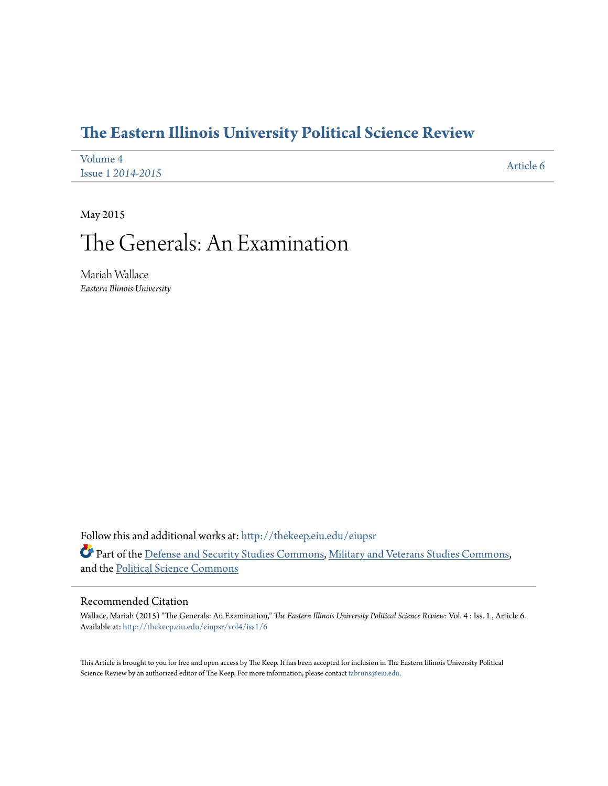### **[The Eastern Illinois University Political Science Review](http://thekeep.eiu.edu/eiupsr?utm_source=thekeep.eiu.edu%2Feiupsr%2Fvol4%2Fiss1%2F6&utm_medium=PDF&utm_campaign=PDFCoverPages)**

| Volume 4                 | Article 6 |
|--------------------------|-----------|
| <b>Issue 1 2014-2015</b> |           |

May 2015

# The Generals: An Examination

Mariah Wallace *Eastern Illinois University*

Follow this and additional works at: [http://thekeep.eiu.edu/eiupsr](http://thekeep.eiu.edu/eiupsr?utm_source=thekeep.eiu.edu%2Feiupsr%2Fvol4%2Fiss1%2F6&utm_medium=PDF&utm_campaign=PDFCoverPages) Part of the [Defense and Security Studies Commons](http://network.bepress.com/hgg/discipline/394?utm_source=thekeep.eiu.edu%2Feiupsr%2Fvol4%2Fiss1%2F6&utm_medium=PDF&utm_campaign=PDFCoverPages), [Military and Veterans Studies Commons,](http://network.bepress.com/hgg/discipline/396?utm_source=thekeep.eiu.edu%2Feiupsr%2Fvol4%2Fiss1%2F6&utm_medium=PDF&utm_campaign=PDFCoverPages) and the [Political Science Commons](http://network.bepress.com/hgg/discipline/386?utm_source=thekeep.eiu.edu%2Feiupsr%2Fvol4%2Fiss1%2F6&utm_medium=PDF&utm_campaign=PDFCoverPages)

#### Recommended Citation

Wallace, Mariah (2015) "The Generals: An Examination," *The Eastern Illinois University Political Science Review*: Vol. 4 : Iss. 1 , Article 6. Available at: [http://thekeep.eiu.edu/eiupsr/vol4/iss1/6](http://thekeep.eiu.edu/eiupsr/vol4/iss1/6?utm_source=thekeep.eiu.edu%2Feiupsr%2Fvol4%2Fiss1%2F6&utm_medium=PDF&utm_campaign=PDFCoverPages)

This Article is brought to you for free and open access by The Keep. It has been accepted for inclusion in The Eastern Illinois University Political Science Review by an authorized editor of The Keep. For more information, please contact [tabruns@eiu.edu](mailto:tabruns@eiu.edu).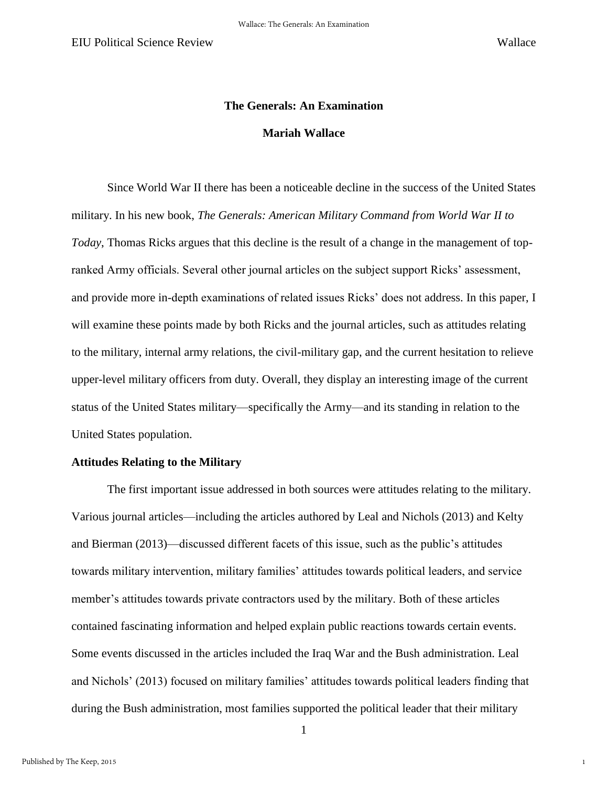1

## **The Generals: An Examination Mariah Wallace**

 Since World War II there has been a noticeable decline in the success of the United States military. In his new book, *The Generals: American Military Command from World War II to Today*, Thomas Ricks argues that this decline is the result of a change in the management of topranked Army officials. Several other journal articles on the subject support Ricks' assessment, and provide more in-depth examinations of related issues Ricks' does not address. In this paper, I will examine these points made by both Ricks and the journal articles, such as attitudes relating to the military, internal army relations, the civil-military gap, and the current hesitation to relieve upper-level military officers from duty. Overall, they display an interesting image of the current status of the United States military—specifically the Army—and its standing in relation to the United States population.

#### **Attitudes Relating to the Military**

 The first important issue addressed in both sources were attitudes relating to the military. Various journal articles—including the articles authored by Leal and Nichols (2013) and Kelty and Bierman (2013)—discussed different facets of this issue, such as the public's attitudes towards military intervention, military families' attitudes towards political leaders, and service member's attitudes towards private contractors used by the military. Both of these articles contained fascinating information and helped explain public reactions towards certain events. Some events discussed in the articles included the Iraq War and the Bush administration. Leal and Nichols' (2013) focused on military families' attitudes towards political leaders finding that during the Bush administration, most families supported the political leader that their military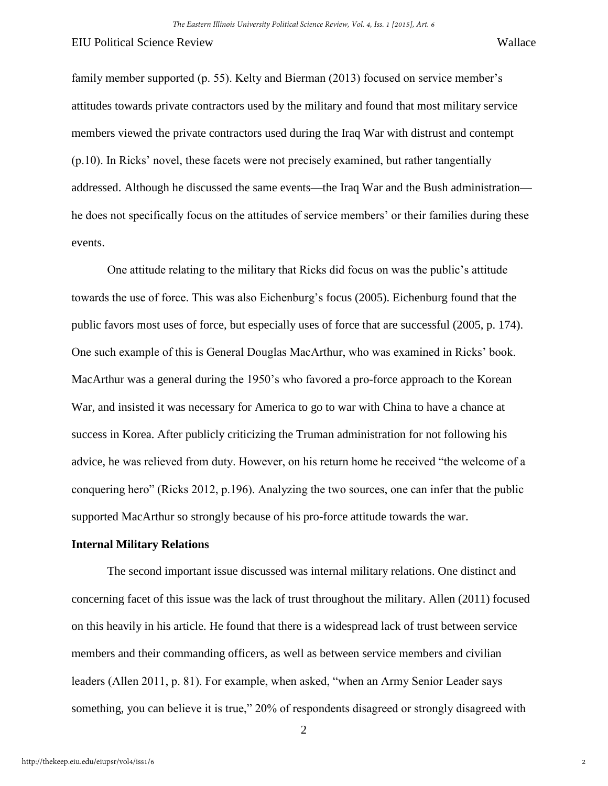family member supported (p. 55). Kelty and Bierman (2013) focused on service member's attitudes towards private contractors used by the military and found that most military service members viewed the private contractors used during the Iraq War with distrust and contempt (p.10). In Ricks' novel, these facets were not precisely examined, but rather tangentially addressed. Although he discussed the same events—the Iraq War and the Bush administration he does not specifically focus on the attitudes of service members' or their families during these events.

One attitude relating to the military that Ricks did focus on was the public's attitude towards the use of force. This was also Eichenburg's focus (2005). Eichenburg found that the public favors most uses of force, but especially uses of force that are successful (2005, p. 174). One such example of this is General Douglas MacArthur, who was examined in Ricks' book. MacArthur was a general during the 1950's who favored a pro-force approach to the Korean War, and insisted it was necessary for America to go to war with China to have a chance at success in Korea. After publicly criticizing the Truman administration for not following his advice, he was relieved from duty. However, on his return home he received "the welcome of a conquering hero" (Ricks 2012, p.196). Analyzing the two sources, one can infer that the public supported MacArthur so strongly because of his pro-force attitude towards the war.

#### **Internal Military Relations**

 The second important issue discussed was internal military relations. One distinct and concerning facet of this issue was the lack of trust throughout the military. Allen (2011) focused on this heavily in his article. He found that there is a widespread lack of trust between service members and their commanding officers, as well as between service members and civilian leaders (Allen 2011, p. 81). For example, when asked, "when an Army Senior Leader says something, you can believe it is true," 20% of respondents disagreed or strongly disagreed with

2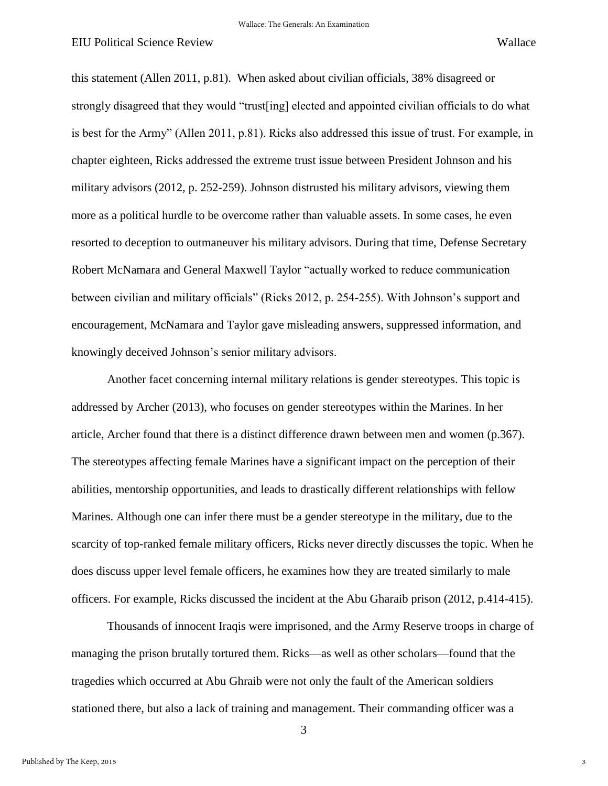this statement (Allen 2011, p.81). When asked about civilian officials, 38% disagreed or strongly disagreed that they would "trust[ing] elected and appointed civilian officials to do what is best for the Army" (Allen 2011, p.81). Ricks also addressed this issue of trust. For example, in chapter eighteen, Ricks addressed the extreme trust issue between President Johnson and his military advisors (2012, p. 252-259). Johnson distrusted his military advisors, viewing them more as a political hurdle to be overcome rather than valuable assets. In some cases, he even resorted to deception to outmaneuver his military advisors. During that time, Defense Secretary Robert McNamara and General Maxwell Taylor "actually worked to reduce communication between civilian and military officials" (Ricks 2012, p. 254-255). With Johnson's support and encouragement, McNamara and Taylor gave misleading answers, suppressed information, and knowingly deceived Johnson's senior military advisors.

 Another facet concerning internal military relations is gender stereotypes. This topic is addressed by Archer (2013), who focuses on gender stereotypes within the Marines. In her article, Archer found that there is a distinct difference drawn between men and women (p.367). The stereotypes affecting female Marines have a significant impact on the perception of their abilities, mentorship opportunities, and leads to drastically different relationships with fellow Marines. Although one can infer there must be a gender stereotype in the military, due to the scarcity of top-ranked female military officers, Ricks never directly discusses the topic. When he does discuss upper level female officers, he examines how they are treated similarly to male officers. For example, Ricks discussed the incident at the Abu Gharaib prison (2012, p.414-415).

 Thousands of innocent Iraqis were imprisoned, and the Army Reserve troops in charge of managing the prison brutally tortured them. Ricks—as well as other scholars—found that the tragedies which occurred at Abu Ghraib were not only the fault of the American soldiers stationed there, but also a lack of training and management. Their commanding officer was a

3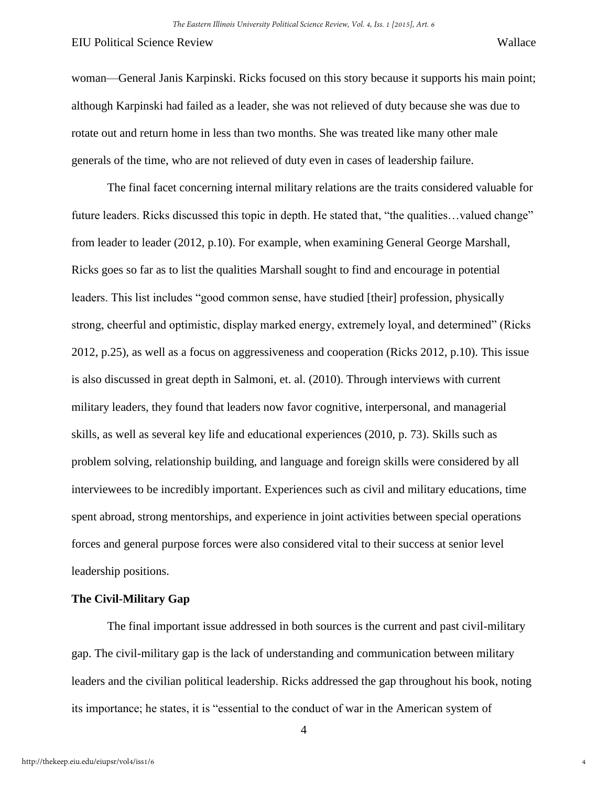woman—General Janis Karpinski. Ricks focused on this story because it supports his main point; although Karpinski had failed as a leader, she was not relieved of duty because she was due to rotate out and return home in less than two months. She was treated like many other male generals of the time, who are not relieved of duty even in cases of leadership failure.

 The final facet concerning internal military relations are the traits considered valuable for future leaders. Ricks discussed this topic in depth. He stated that, "the qualities...valued change" from leader to leader (2012, p.10). For example, when examining General George Marshall, Ricks goes so far as to list the qualities Marshall sought to find and encourage in potential leaders. This list includes "good common sense, have studied [their] profession, physically strong, cheerful and optimistic, display marked energy, extremely loyal, and determined" (Ricks 2012, p.25), as well as a focus on aggressiveness and cooperation (Ricks 2012, p.10). This issue is also discussed in great depth in Salmoni, et. al. (2010). Through interviews with current military leaders, they found that leaders now favor cognitive, interpersonal, and managerial skills, as well as several key life and educational experiences (2010, p. 73). Skills such as problem solving, relationship building, and language and foreign skills were considered by all interviewees to be incredibly important. Experiences such as civil and military educations, time spent abroad, strong mentorships, and experience in joint activities between special operations forces and general purpose forces were also considered vital to their success at senior level leadership positions.

#### **The Civil-Military Gap**

The final important issue addressed in both sources is the current and past civil-military gap. The civil-military gap is the lack of understanding and communication between military leaders and the civilian political leadership. Ricks addressed the gap throughout his book, noting its importance; he states, it is "essential to the conduct of war in the American system of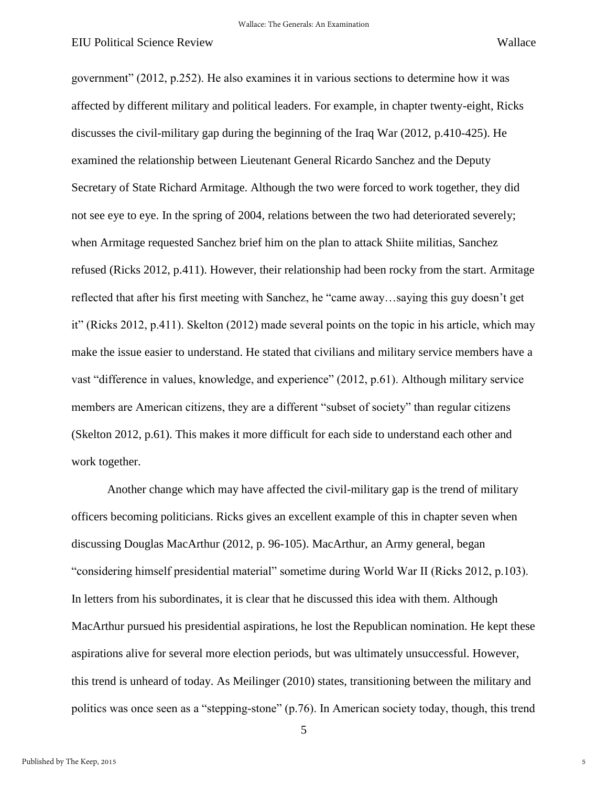government" (2012, p.252). He also examines it in various sections to determine how it was affected by different military and political leaders. For example, in chapter twenty-eight, Ricks discusses the civil-military gap during the beginning of the Iraq War (2012, p.410-425). He examined the relationship between Lieutenant General Ricardo Sanchez and the Deputy Secretary of State Richard Armitage. Although the two were forced to work together, they did not see eye to eye. In the spring of 2004, relations between the two had deteriorated severely; when Armitage requested Sanchez brief him on the plan to attack Shiite militias, Sanchez refused (Ricks 2012, p.411). However, their relationship had been rocky from the start. Armitage reflected that after his first meeting with Sanchez, he "came away…saying this guy doesn't get it" (Ricks 2012, p.411). Skelton (2012) made several points on the topic in his article, which may make the issue easier to understand. He stated that civilians and military service members have a vast "difference in values, knowledge, and experience" (2012, p.61). Although military service members are American citizens, they are a different "subset of society" than regular citizens (Skelton 2012, p.61). This makes it more difficult for each side to understand each other and work together.

Another change which may have affected the civil-military gap is the trend of military officers becoming politicians. Ricks gives an excellent example of this in chapter seven when discussing Douglas MacArthur (2012, p. 96-105). MacArthur, an Army general, began "considering himself presidential material" sometime during World War II (Ricks 2012, p.103). In letters from his subordinates, it is clear that he discussed this idea with them. Although MacArthur pursued his presidential aspirations, he lost the Republican nomination. He kept these aspirations alive for several more election periods, but was ultimately unsuccessful. However, this trend is unheard of today. As Meilinger (2010) states, transitioning between the military and politics was once seen as a "stepping-stone" (p.76). In American society today, though, this trend

5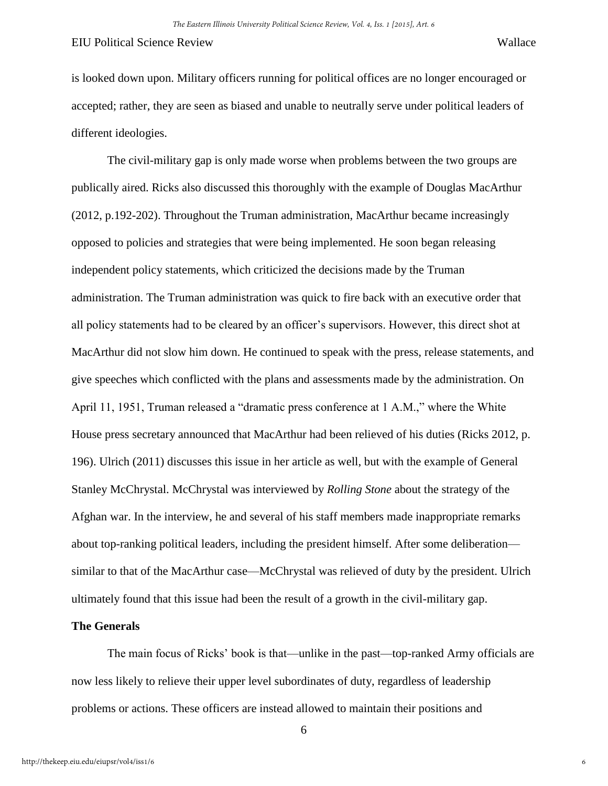is looked down upon. Military officers running for political offices are no longer encouraged or accepted; rather, they are seen as biased and unable to neutrally serve under political leaders of different ideologies.

The civil-military gap is only made worse when problems between the two groups are publically aired. Ricks also discussed this thoroughly with the example of Douglas MacArthur (2012, p.192-202). Throughout the Truman administration, MacArthur became increasingly opposed to policies and strategies that were being implemented. He soon began releasing independent policy statements, which criticized the decisions made by the Truman administration. The Truman administration was quick to fire back with an executive order that all policy statements had to be cleared by an officer's supervisors. However, this direct shot at MacArthur did not slow him down. He continued to speak with the press, release statements, and give speeches which conflicted with the plans and assessments made by the administration. On April 11, 1951, Truman released a "dramatic press conference at 1 A.M.," where the White House press secretary announced that MacArthur had been relieved of his duties (Ricks 2012, p. 196). Ulrich (2011) discusses this issue in her article as well, but with the example of General Stanley McChrystal. McChrystal was interviewed by *Rolling Stone* about the strategy of the Afghan war. In the interview, he and several of his staff members made inappropriate remarks about top-ranking political leaders, including the president himself. After some deliberation similar to that of the MacArthur case—McChrystal was relieved of duty by the president. Ulrich ultimately found that this issue had been the result of a growth in the civil-military gap.

#### **The Generals**

The main focus of Ricks' book is that—unlike in the past—top-ranked Army officials are now less likely to relieve their upper level subordinates of duty, regardless of leadership problems or actions. These officers are instead allowed to maintain their positions and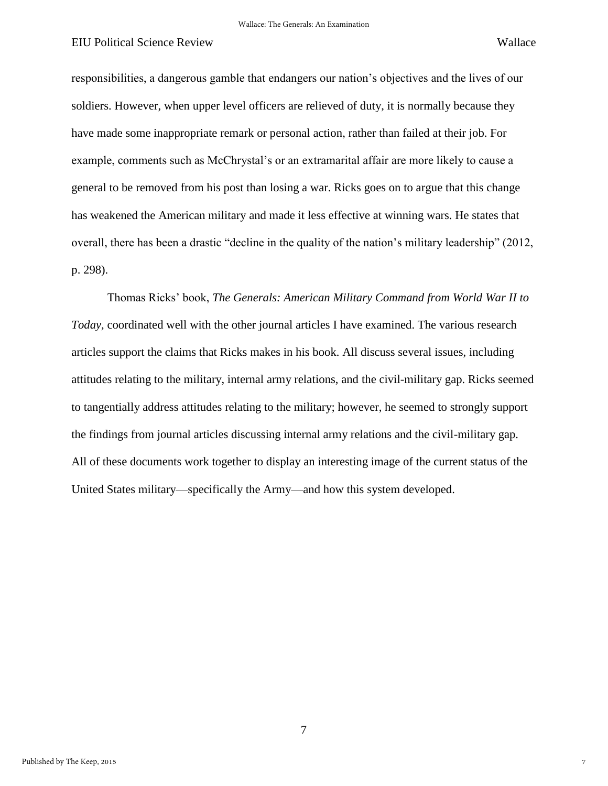7

responsibilities, a dangerous gamble that endangers our nation's objectives and the lives of our soldiers. However, when upper level officers are relieved of duty, it is normally because they have made some inappropriate remark or personal action, rather than failed at their job. For example, comments such as McChrystal's or an extramarital affair are more likely to cause a general to be removed from his post than losing a war. Ricks goes on to argue that this change has weakened the American military and made it less effective at winning wars. He states that overall, there has been a drastic "decline in the quality of the nation's military leadership" (2012, p. 298).

Thomas Ricks' book, *The Generals: American Military Command from World War II to Today,* coordinated well with the other journal articles I have examined. The various research articles support the claims that Ricks makes in his book. All discuss several issues, including attitudes relating to the military, internal army relations, and the civil-military gap. Ricks seemed to tangentially address attitudes relating to the military; however, he seemed to strongly support the findings from journal articles discussing internal army relations and the civil-military gap. All of these documents work together to display an interesting image of the current status of the United States military—specifically the Army—and how this system developed.